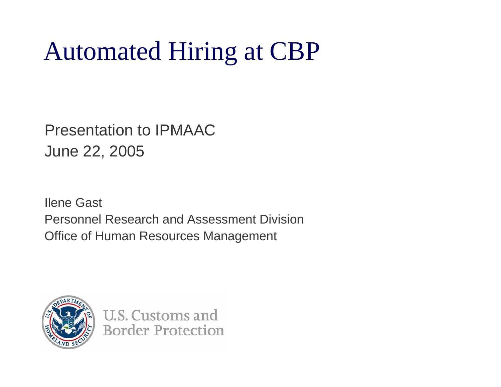Presentation to IPMAACJune 22, 2005

Ilene Gast Personnel Research and Assessment Division Office of Human Resources Management



**U.S. Customs and Border Protection**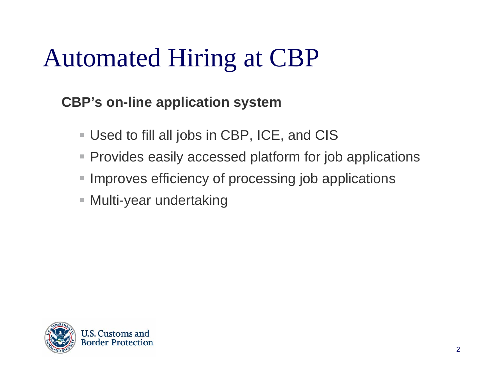#### **CBP's on-line application system**

- $\blacksquare$ Used to fill all jobs in CBP, ICE, and CIS
- Provides easily accessed platform for job applications
- Improves efficiency of processing job applications
- $\blacksquare$ Multi-year undertaking

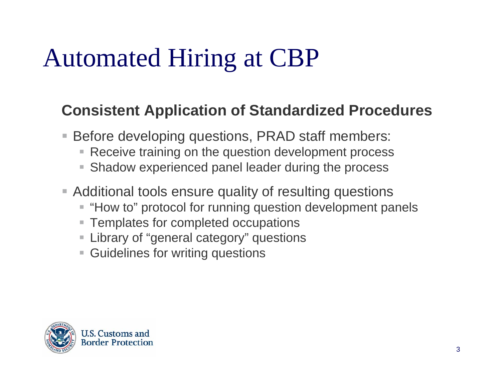#### **Consistent Application of Standardized Procedures**

- $\blacksquare$  Before developing questions, PRAD staff members:
	- Ц Receive training on the question development process
	- **Shadow experienced panel leader during the process**
- Additional tools ensure quality of resulting questions
	- "How to" protocol for running question development panels
	- Templates for completed occupations
	- Library of "general category" questions
	- Guidelines for writing questions

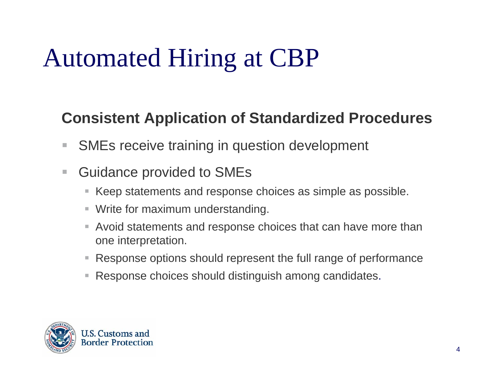#### **Consistent Application of Standardized Procedures**

- $\mathcal{L}_{\mathcal{A}}$ SMEs receive training in question development
- $\overline{\phantom{a}}$  Guidance provided to SMEs
	- $\overline{\phantom{a}}$ Keep statements and response choices as simple as possible.
	- $\overline{\phantom{a}}$ Write for maximum understanding.
	- ш Avoid statements and response choices that can have more than one interpretation.
	- ш Response options should represent the full range of performance
	- I. Response choices should distinguish among candidates.

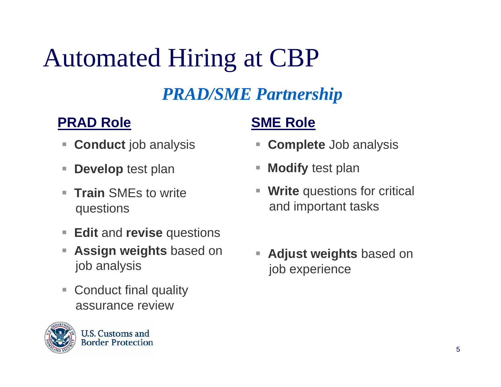#### *PRAD/SME Partnership*

#### **PRAD Role**

- п **Conduct** job analysis
- п **Develop** test plan
- $\blacksquare$  **Train** SMEs to write questions
- $\overline{\phantom{a}}$ **Edit** and **revise** questions
- $\mathcal{L}_{\mathcal{A}}$  **Assign weights** based on job analysis
- $\blacksquare$  Conduct final quality assurance review



#### **SME Role**

- **Complete** Job analysis
- п **Modify** test plan
- Ξ **Write** questions for critical and important tasks
- **Adjust weights** based on job experience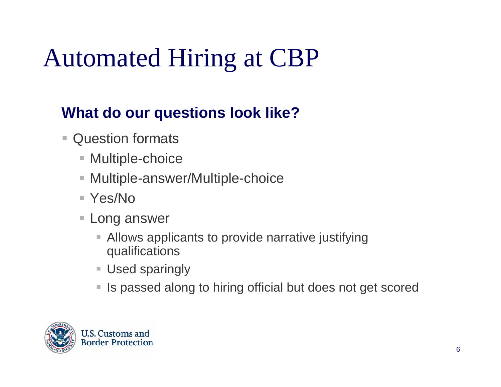#### **What do our questions look like?**

- $\mathcal{C}$  Question formats
	- Multiple-choice
	- $\overline{\phantom{a}}$ Multiple-answer/Multiple-choice
	- Yes/No
	- $\Box$  Long answer
		- Allows applicants to provide narrative justifying qualifications
		- Used sparingly
		- $\mathcal{L}_{\mathcal{A}}$ Is passed along to hiring official but does not get scored

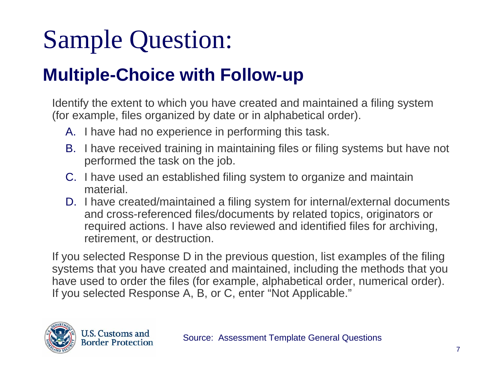### Sample Question:

### **Multiple-Choice with Follow-up**

 Identify the extent to which you have created and maintained a filing system (for example, files organized by date or in alphabetical order).

- A. I have had no experience in performing this task.
- B. I have received training in maintaining files or filing systems but have not performed the task on the job.
- C. I have used an established filing system to organize and maintain material.
- D. I have created/maintained a filing system for internal/external documents and cross-referenced files/documents by related topics, originators or required actions. I have also reviewed and identified files for archiving, retirement, or destruction.

 If you selected Response D in the previous question, list examples of the filing systems that you have created and maintained, including the methods that you have used to order the files (for example, alphabetical order, numerical order). If you selected Response A, B, or C, enter "Not Applicable."

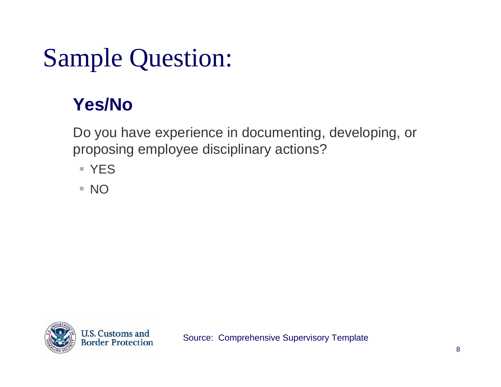### Sample Question:

### **Yes/No**

 Do you have experience in documenting, developing, or proposing employee disciplinary actions?

- YES
- NO

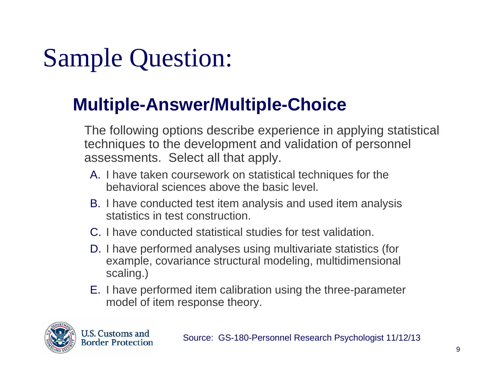## Sample Question:

#### **Multiple-Answer/Multiple-Choice**

 The following options describe experience in applying statistical techniques to the development and validation of personnel assessments. Select all that apply.

- A. I have taken coursework on statistical techniques for the behavioral sciences above the basic level.
- B. I have conducted test item analysis and used item analysis statistics in test construction.
- C. I have conducted statistical studies for test validation.
- D. I have performed analyses using multivariate statistics (for example, covariance structural modeling, multidimensional scaling.)
- E. I have performed item calibration using the three-parameter model of item response theory.